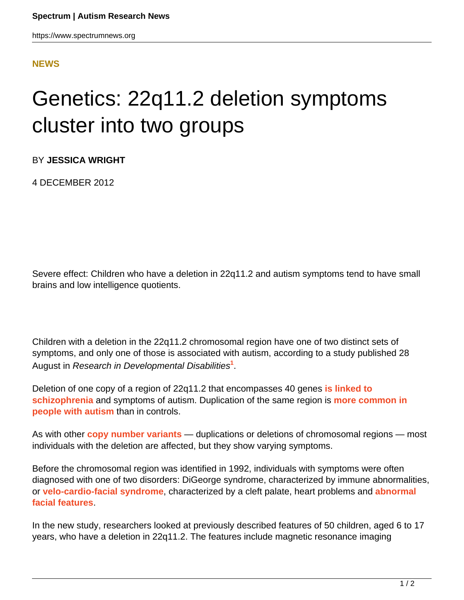## <span id="page-0-0"></span>**[NEWS](HTTPS://WWW.SPECTRUMNEWS.ORG/NEWS/)**

## Genetics: 22q11.2 deletion symptoms cluster into two groups

BY **JESSICA WRIGHT**

4 DECEMBER 2012

Severe effect: Children who have a deletion in 22q11.2 and autism symptoms tend to have small brains and low intelligence quotients.

Children with a deletion in the 22q11.2 chromosomal region have one of two distinct sets of symptoms, and only one of those is associated with autism, according to a study published 28 August in Research in Developmental Disabilities**[1](#page-0-0)** .

Deletion of one copy of a region of 22q11.2 that encompasses 40 genes **[is linked to](https://www.spectrumnews.org/news/2008/rare-spontaneous-mutations-rife-in-schizophrenia-cases) [schizophrenia](https://www.spectrumnews.org/news/2008/rare-spontaneous-mutations-rife-in-schizophrenia-cases)** and symptoms of autism. Duplication of the same region is **[more common in](https://www.spectrumnews.org/in-brief/2012/genetics-analysis-identifies-new-autism-candidate-regions) [people with autism](https://www.spectrumnews.org/in-brief/2012/genetics-analysis-identifies-new-autism-candidate-regions)** than in controls.

As with other **[copy number variants](https://www.spectrumnews.org/wiki/copy-number-variation?searchterm=copy+number+variants+wiki)** — duplications or deletions of chromosomal regions — most individuals with the deletion are affected, but they show varying symptoms.

Before the chromosomal region was identified in 1992, individuals with symptoms were often diagnosed with one of two disorders: DiGeorge syndrome, characterized by immune abnormalities, or **[velo-cardio-facial syndrome](https://www.spectrumnews.org/in-brief/2012/cognition-and-behavior-mind-blindness-in-autism-syndromes)**, characterized by a cleft palate, heart problems and **[abnormal](https://www.spectrumnews.org/wiki/dysmorphology) [facial features](https://www.spectrumnews.org/wiki/dysmorphology)**.

In the new study, researchers looked at previously described features of 50 children, aged 6 to 17 years, who have a deletion in 22q11.2. The features include magnetic resonance imaging